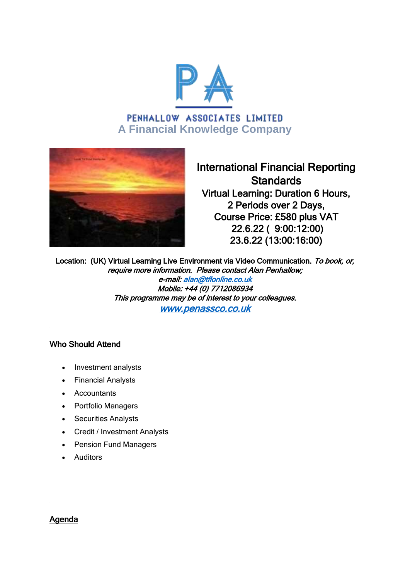

# PENHALLOW ASSOCIATES LIMITED **A Financial Knowledge Company**



International Financial Reporting **Standards** Virtual Learning: Duration 6 Hours, 2 Periods over 2 Days, Course Price: £580 plus VAT 22.6.22 ( 9:00:12:00) 23.6.22 (13:00:16:00)

Location: (UK) Virtual Learning Live Environment via Video Communication. To book, or, require more information. Please contact Alan Penhallow; e-mail: [alan@tflonline.co.uk](mailto:alan@tflonline.co.uk)  Mobile: +44 (0) 7712086934 This programme may be of interest to your colleagues. [www.penassco.co.uk](http://www.penassco.co.uk/)

# Who Should Attend

- Investment analysts
- Financial Analysts
- Accountants
- Portfolio Managers
- Securities Analysts
- Credit / Investment Analysts
- Pension Fund Managers
- Auditors

# Agenda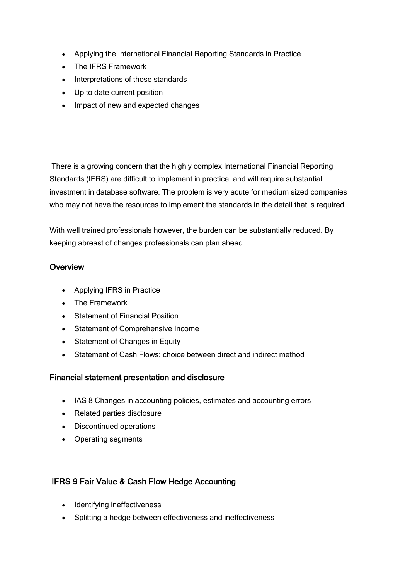- Applying the International Financial Reporting Standards in Practice
- The IFRS Framework
- Interpretations of those standards
- Up to date current position
- Impact of new and expected changes

There is a growing concern that the highly complex International Financial Reporting Standards (IFRS) are difficult to implement in practice, and will require substantial investment in database software. The problem is very acute for medium sized companies who may not have the resources to implement the standards in the detail that is required.

With well trained professionals however, the burden can be substantially reduced. By keeping abreast of changes professionals can plan ahead.

### **Overview**

- Applying IFRS in Practice
- The Framework
- Statement of Financial Position
- Statement of Comprehensive Income
- Statement of Changes in Equity
- Statement of Cash Flows: choice between direct and indirect method

### Financial statement presentation and disclosure

- IAS 8 Changes in accounting policies, estimates and accounting errors
- Related parties disclosure
- Discontinued operations
- Operating segments

# IFRS 9 Fair Value & Cash Flow Hedge Accounting

- Identifying ineffectiveness
- Splitting a hedge between effectiveness and ineffectiveness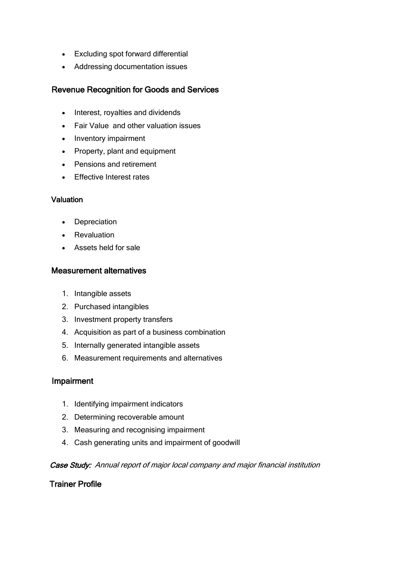- Excluding spot forward differential
- Addressing documentation issues

### Revenue Recognition for Goods and Services

- Interest, royalties and dividends
- Fair Value and other valuation issues
- Inventory impairment
- Property, plant and equipment
- Pensions and retirement
- **Effective Interest rates**

#### **Valuation**

- Depreciation
- Revaluation
- Assets held for sale

#### Measurement alternatives

- 1. Intangible assets
- 2. Purchased intangibles
- 3. Investment property transfers
- 4. Acquisition as part of a business combination
- 5. Internally generated intangible assets
- 6. Measurement requirements and alternatives

#### Impairment

- 1. Identifying impairment indicators
- 2. Determining recoverable amount
- 3. Measuring and recognising impairment
- 4. Cash generating units and impairment of goodwill

#### Case Study: Annual report of major local company and major financial institution

### Trainer Profile